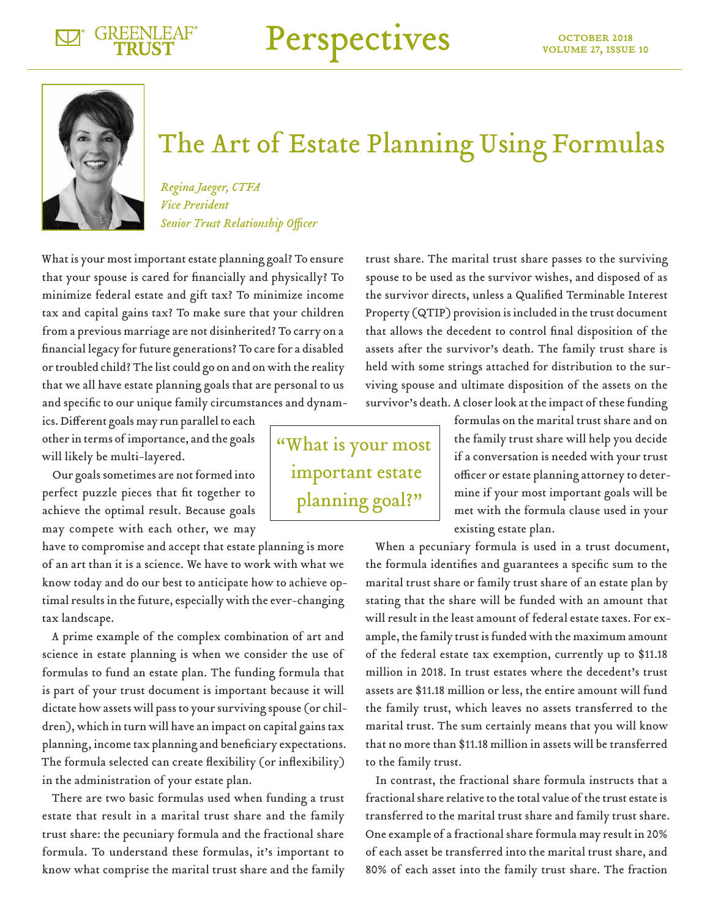Perspectives



## The Art of Estate Planning Using Formulas

*Regina Jaeger, CTFA Vice President Senior Trust Relationship Officer*

What is your most important estate planning goal? To ensure that your spouse is cared for financially and physically? To minimize federal estate and gift tax? To minimize income tax and capital gains tax? To make sure that your children from a previous marriage are not disinherited? To carry on a financial legacy for future generations? To care for a disabled or troubled child? The list could go on and on with the reality that we all have estate planning goals that are personal to us and specific to our unique family circumstances and dynam-

ics. Different goals may run parallel to each other in terms of importance, and the goals will likely be multi-layered.

Our goals sometimes are not formed into perfect puzzle pieces that fit together to achieve the optimal result. Because goals may compete with each other, we may

have to compromise and accept that estate planning is more of an art than it is a science. We have to work with what we know today and do our best to anticipate how to achieve optimal results in the future, especially with the ever-changing tax landscape.

A prime example of the complex combination of art and science in estate planning is when we consider the use of formulas to fund an estate plan. The funding formula that is part of your trust document is important because it will dictate how assets will pass to your surviving spouse (or children), which in turn will have an impact on capital gains tax planning, income tax planning and beneficiary expectations. The formula selected can create flexibility (or inflexibility) in the administration of your estate plan.

There are two basic formulas used when funding a trust estate that result in a marital trust share and the family trust share: the pecuniary formula and the fractional share formula. To understand these formulas, it's important to know what comprise the marital trust share and the family

trust share. The marital trust share passes to the surviving spouse to be used as the survivor wishes, and disposed of as the survivor directs, unless a Qualified Terminable Interest Property (QTIP) provision is included in the trust document that allows the decedent to control final disposition of the assets after the survivor's death. The family trust share is held with some strings attached for distribution to the surviving spouse and ultimate disposition of the assets on the survivor's death. A closer look at the impact of these funding

> formulas on the marital trust share and on the family trust share will help you decide if a conversation is needed with your trust officer or estate planning attorney to determine if your most important goals will be met with the formula clause used in your existing estate plan.

When a pecuniary formula is used in a trust document, the formula identifies and guarantees a specific sum to the marital trust share or family trust share of an estate plan by stating that the share will be funded with an amount that will result in the least amount of federal estate taxes. For example, the family trust is funded with the maximum amount of the federal estate tax exemption, currently up to \$11.18 million in 2018. In trust estates where the decedent's trust assets are \$11.18 million or less, the entire amount will fund the family trust, which leaves no assets transferred to the marital trust. The sum certainly means that you will know that no more than \$11.18 million in assets will be transferred to the family trust.

In contrast, the fractional share formula instructs that a fractional share relative to the total value of the trust estate is transferred to the marital trust share and family trust share. One example of a fractional share formula may result in 20% of each asset be transferred into the marital trust share, and 80% of each asset into the family trust share. The fraction

"What is your most important estate planning goal?"